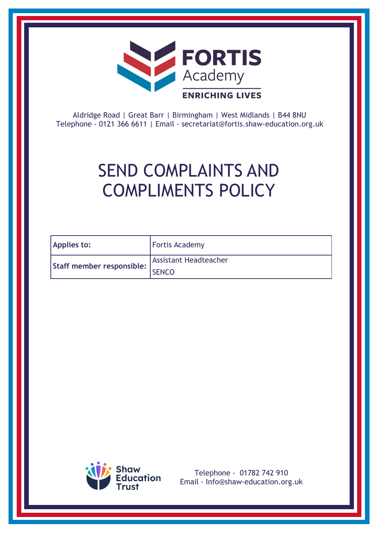

Aldridge Road | Great Barr | Birmingham | West Midlands | B44 8NU Telephone - 0121 366 6611 | Email - [secretariat@fortis.shaw-education.org.uk](mailto:secretariat@fortis.shaw-education.org.uk)

## SEND COMPLAINTS AND COMPLIMENTS POLICY

| <b>Applies to:</b>        | <b>Fortis Academy</b>        |
|---------------------------|------------------------------|
| Staff member responsible: | <b>Assistant Headteacher</b> |
|                           | <b>SENCO</b>                 |



Telephone - 01782 742 910 Email - [Info@shaw-education.org.uk](mailto:Info@shaw-education.org.uk)